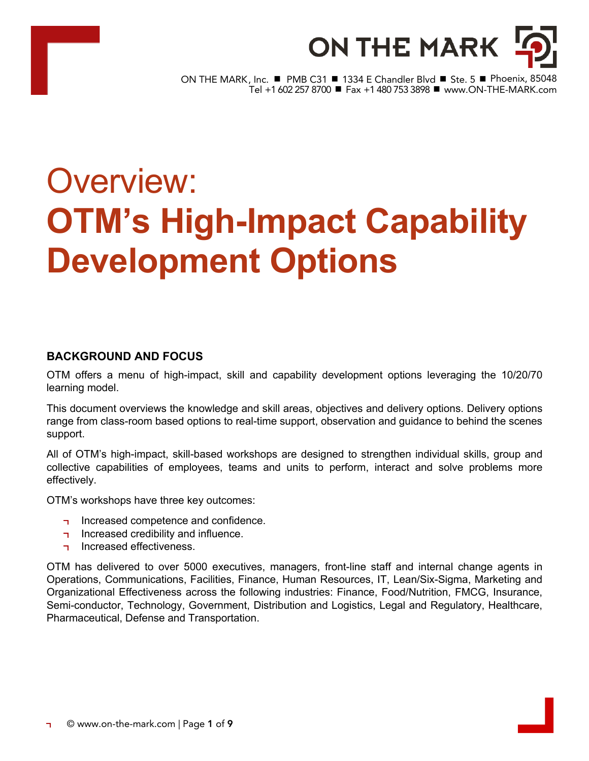

ON THE MARK, Inc. ■ PMB C31 ■ 1334 E Chandler Blvd ■ Ste. 5 ■ Phoenix, 85048 .<br>Tel +1 602 257 8700 ■ Fax +1 480 753 3898 ■ www.ON-THE-MARK.com

# Overview: **OTM's High-Impact Capability Development Options**

# **BACKGROUND AND FOCUS**

OTM offers a menu of high-impact, skill and capability development options leveraging the 10/20/70 learning model.

This document overviews the knowledge and skill areas, objectives and delivery options. Delivery options range from class-room based options to real-time support, observation and guidance to behind the scenes support.

All of OTM's high-impact, skill-based workshops are designed to strengthen individual skills, group and collective capabilities of employees, teams and units to perform, interact and solve problems more effectively.

OTM's workshops have three key outcomes:

- Increased competence and confidence.
- Increased credibility and influence.
- Increased effectiveness.  $\blacksquare$

OTM has delivered to over 5000 executives, managers, front-line staff and internal change agents in Operations, Communications, Facilities, Finance, Human Resources, IT, Lean/Six-Sigma, Marketing and Organizational Effectiveness across the following industries: Finance, Food/Nutrition, FMCG, Insurance, Semi-conductor, Technology, Government, Distribution and Logistics, Legal and Regulatory, Healthcare, Pharmaceutical, Defense and Transportation.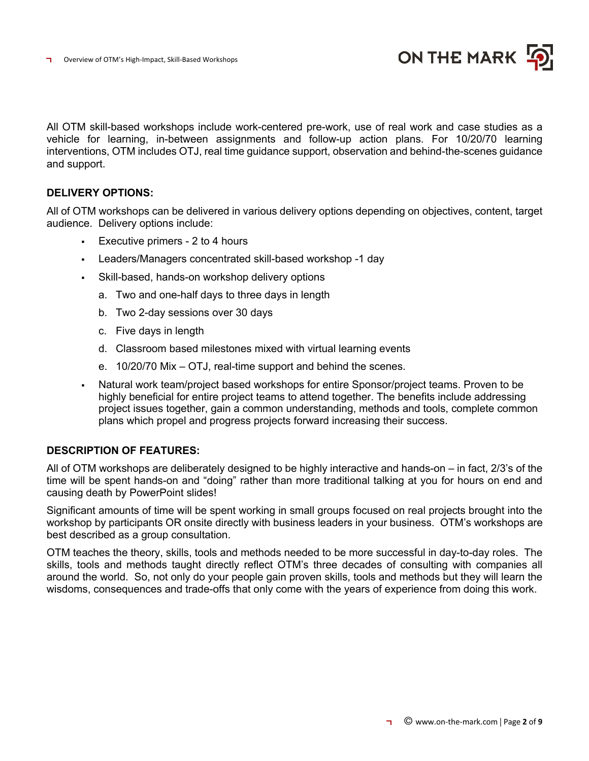

All OTM skill-based workshops include work-centered pre-work, use of real work and case studies as a vehicle for learning, in-between assignments and follow-up action plans. For 10/20/70 learning interventions, OTM includes OTJ, real time guidance support, observation and behind-the-scenes guidance and support.

# **DELIVERY OPTIONS:**

All of OTM workshops can be delivered in various delivery options depending on objectives, content, target audience. Delivery options include:

- § Executive primers 2 to 4 hours
- § Leaders/Managers concentrated skill-based workshop -1 day
- Skill-based, hands-on workshop delivery options
	- a. Two and one-half days to three days in length
	- b. Two 2-day sessions over 30 days
	- c. Five days in length
	- d. Classroom based milestones mixed with virtual learning events
	- e. 10/20/70 Mix OTJ, real-time support and behind the scenes.
- Natural work team/project based workshops for entire Sponsor/project teams. Proven to be highly beneficial for entire project teams to attend together. The benefits include addressing project issues together, gain a common understanding, methods and tools, complete common plans which propel and progress projects forward increasing their success.

# **DESCRIPTION OF FEATURES:**

All of OTM workshops are deliberately designed to be highly interactive and hands-on – in fact, 2/3's of the time will be spent hands-on and "doing" rather than more traditional talking at you for hours on end and causing death by PowerPoint slides!

Significant amounts of time will be spent working in small groups focused on real projects brought into the workshop by participants OR onsite directly with business leaders in your business. OTM's workshops are best described as a group consultation.

OTM teaches the theory, skills, tools and methods needed to be more successful in day-to-day roles. The skills, tools and methods taught directly reflect OTM's three decades of consulting with companies all around the world. So, not only do your people gain proven skills, tools and methods but they will learn the wisdoms, consequences and trade-offs that only come with the years of experience from doing this work.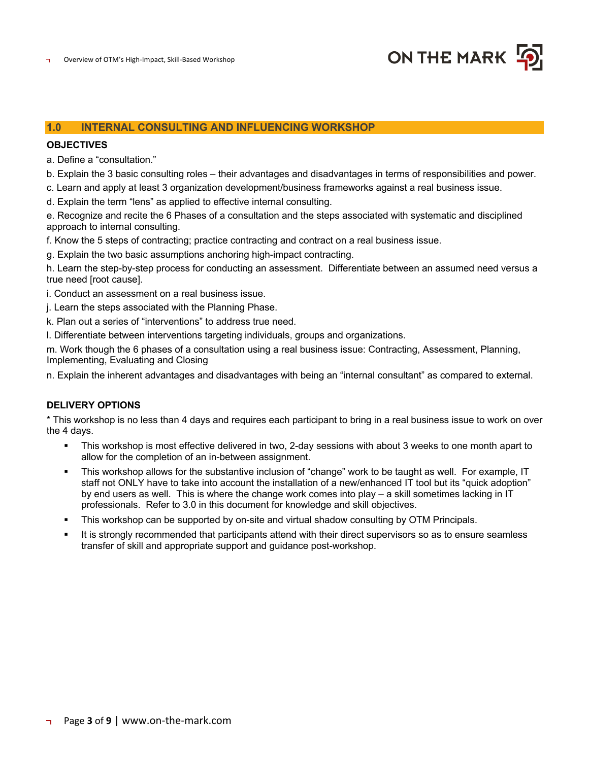

# **1.0 INTERNAL CONSULTING AND INFLUENCING WORKSHOP**

#### **OBJECTIVES**

a. Define a "consultation."

b. Explain the 3 basic consulting roles – their advantages and disadvantages in terms of responsibilities and power.

c. Learn and apply at least 3 organization development/business frameworks against a real business issue.

d. Explain the term "lens" as applied to effective internal consulting.

e. Recognize and recite the 6 Phases of a consultation and the steps associated with systematic and disciplined approach to internal consulting.

f. Know the 5 steps of contracting; practice contracting and contract on a real business issue.

g. Explain the two basic assumptions anchoring high-impact contracting.

h. Learn the step-by-step process for conducting an assessment. Differentiate between an assumed need versus a true need [root cause].

i. Conduct an assessment on a real business issue.

j. Learn the steps associated with the Planning Phase.

k. Plan out a series of "interventions" to address true need.

l. Differentiate between interventions targeting individuals, groups and organizations.

m. Work though the 6 phases of a consultation using a real business issue: Contracting, Assessment, Planning, Implementing, Evaluating and Closing

n. Explain the inherent advantages and disadvantages with being an "internal consultant" as compared to external.

#### **DELIVERY OPTIONS**

\* This workshop is no less than 4 days and requires each participant to bring in a real business issue to work on over the 4 days.

- This workshop is most effective delivered in two, 2-day sessions with about 3 weeks to one month apart to allow for the completion of an in-between assignment.
- This workshop allows for the substantive inclusion of "change" work to be taught as well. For example, IT staff not ONLY have to take into account the installation of a new/enhanced IT tool but its "quick adoption" by end users as well. This is where the change work comes into play – a skill sometimes lacking in IT professionals. Refer to 3.0 in this document for knowledge and skill objectives.
- This workshop can be supported by on-site and virtual shadow consulting by OTM Principals.
- It is strongly recommended that participants attend with their direct supervisors so as to ensure seamless transfer of skill and appropriate support and guidance post-workshop.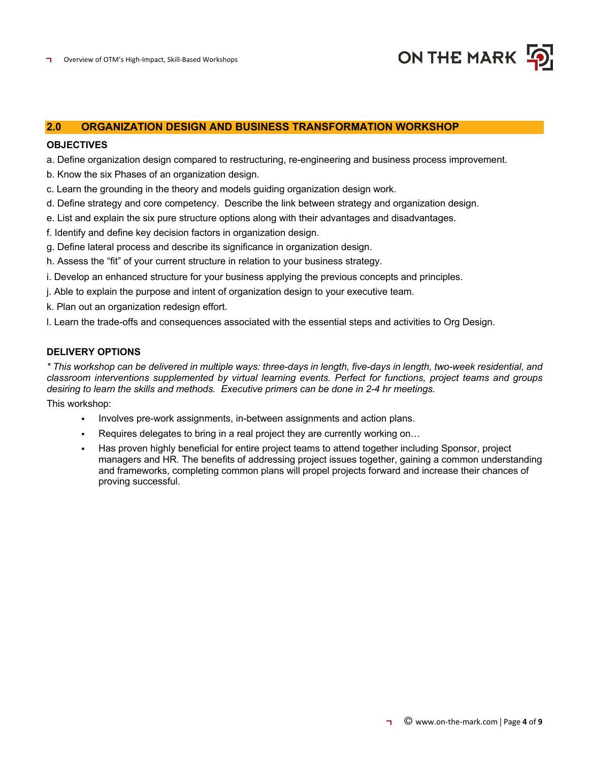

# **2.0 ORGANIZATION DESIGN AND BUSINESS TRANSFORMATION WORKSHOP**

#### **OBJECTIVES**

- a. Define organization design compared to restructuring, re-engineering and business process improvement.
- b. Know the six Phases of an organization design.
- c. Learn the grounding in the theory and models guiding organization design work.
- d. Define strategy and core competency. Describe the link between strategy and organization design.
- e. List and explain the six pure structure options along with their advantages and disadvantages.
- f. Identify and define key decision factors in organization design.
- g. Define lateral process and describe its significance in organization design.
- h. Assess the "fit" of your current structure in relation to your business strategy.
- i. Develop an enhanced structure for your business applying the previous concepts and principles.
- j. Able to explain the purpose and intent of organization design to your executive team.
- k. Plan out an organization redesign effort.
- l. Learn the trade-offs and consequences associated with the essential steps and activities to Org Design.

#### **DELIVERY OPTIONS**

*\* This workshop can be delivered in multiple ways: three-days in length, five-days in length, two-week residential, and classroom interventions supplemented by virtual learning events. Perfect for functions, project teams and groups desiring to learn the skills and methods. Executive primers can be done in 2-4 hr meetings.*

This workshop:

- Involves pre-work assignments, in-between assignments and action plans.
- Requires delegates to bring in a real project they are currently working on...
- Has proven highly beneficial for entire project teams to attend together including Sponsor, project managers and HR. The benefits of addressing project issues together, gaining a common understanding and frameworks, completing common plans will propel projects forward and increase their chances of proving successful.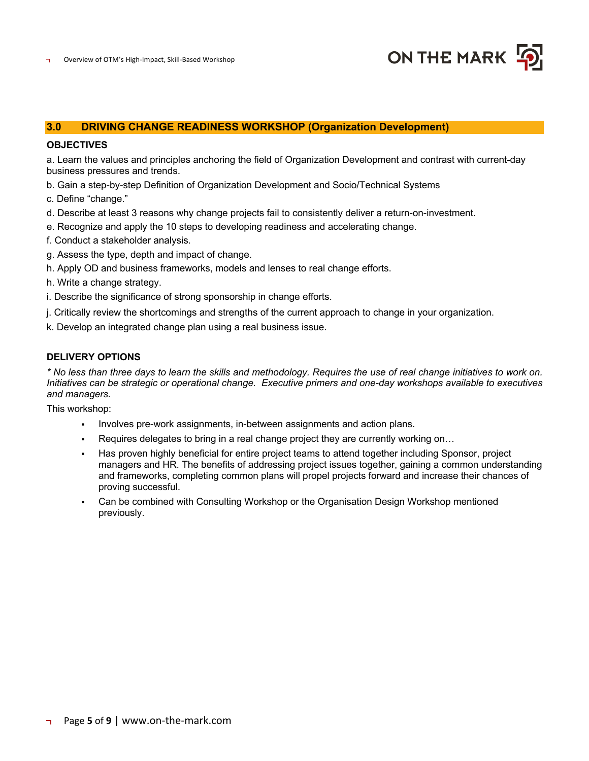

## **3.0 DRIVING CHANGE READINESS WORKSHOP (Organization Development)**

#### **OBJECTIVES**

a. Learn the values and principles anchoring the field of Organization Development and contrast with current-day business pressures and trends.

- b. Gain a step-by-step Definition of Organization Development and Socio/Technical Systems
- c. Define "change."
- d. Describe at least 3 reasons why change projects fail to consistently deliver a return-on-investment.
- e. Recognize and apply the 10 steps to developing readiness and accelerating change.
- f. Conduct a stakeholder analysis.
- g. Assess the type, depth and impact of change.
- h. Apply OD and business frameworks, models and lenses to real change efforts.
- h. Write a change strategy.
- i. Describe the significance of strong sponsorship in change efforts.
- j. Critically review the shortcomings and strengths of the current approach to change in your organization.
- k. Develop an integrated change plan using a real business issue.

#### **DELIVERY OPTIONS**

*\* No less than three days to learn the skills and methodology. Requires the use of real change initiatives to work on. Initiatives can be strategic or operational change. Executive primers and one-day workshops available to executives and managers.*

This workshop:

- Involves pre-work assignments, in-between assignments and action plans.
- Requires delegates to bring in a real change project they are currently working on...
- Has proven highly beneficial for entire project teams to attend together including Sponsor, project managers and HR. The benefits of addressing project issues together, gaining a common understanding and frameworks, completing common plans will propel projects forward and increase their chances of proving successful.
- § Can be combined with Consulting Workshop or the Organisation Design Workshop mentioned previously.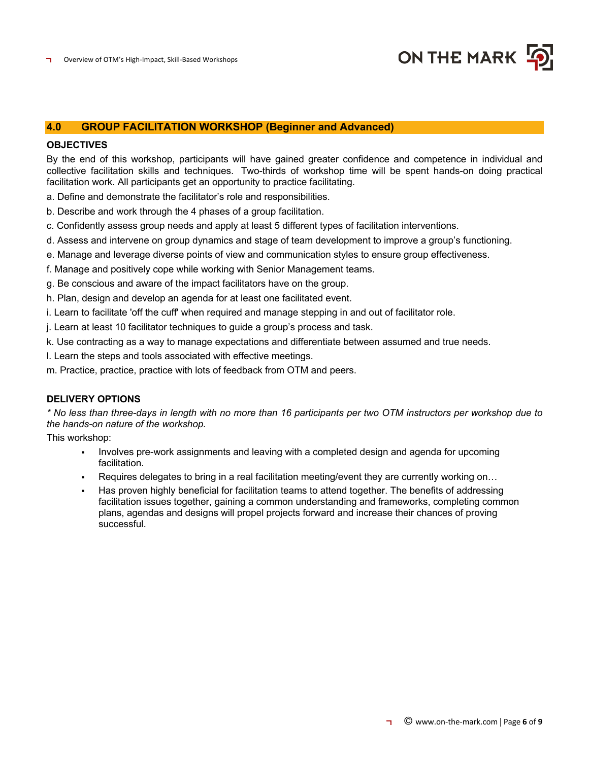

## **4.0 GROUP FACILITATION WORKSHOP (Beginner and Advanced)**

#### **OBJECTIVES**

By the end of this workshop, participants will have gained greater confidence and competence in individual and collective facilitation skills and techniques. Two-thirds of workshop time will be spent hands-on doing practical facilitation work. All participants get an opportunity to practice facilitating.

a. Define and demonstrate the facilitator's role and responsibilities.

b. Describe and work through the 4 phases of a group facilitation.

c. Confidently assess group needs and apply at least 5 different types of facilitation interventions.

d. Assess and intervene on group dynamics and stage of team development to improve a group's functioning.

e. Manage and leverage diverse points of view and communication styles to ensure group effectiveness.

f. Manage and positively cope while working with Senior Management teams.

g. Be conscious and aware of the impact facilitators have on the group.

h. Plan, design and develop an agenda for at least one facilitated event.

i. Learn to facilitate 'off the cuff' when required and manage stepping in and out of facilitator role.

j. Learn at least 10 facilitator techniques to guide a group's process and task.

k. Use contracting as a way to manage expectations and differentiate between assumed and true needs.

l. Learn the steps and tools associated with effective meetings.

m. Practice, practice, practice with lots of feedback from OTM and peers.

#### **DELIVERY OPTIONS**

*\* No less than three-days in length with no more than 16 participants per two OTM instructors per workshop due to the hands-on nature of the workshop.*

This workshop:

- Involves pre-work assignments and leaving with a completed design and agenda for upcoming facilitation.
- Requires delegates to bring in a real facilitation meeting/event they are currently working on...
- Has proven highly beneficial for facilitation teams to attend together. The benefits of addressing facilitation issues together, gaining a common understanding and frameworks, completing common plans, agendas and designs will propel projects forward and increase their chances of proving successful.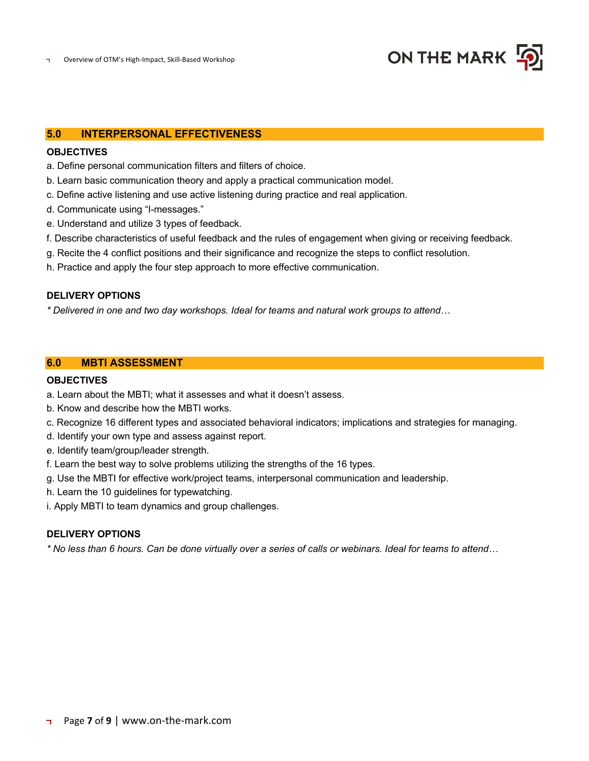

# **5.0 INTERPERSONAL EFFECTIVENESS**

#### **OBJECTIVES**

- a. Define personal communication filters and filters of choice.
- b. Learn basic communication theory and apply a practical communication model.
- c. Define active listening and use active listening during practice and real application.
- d. Communicate using "I-messages."
- e. Understand and utilize 3 types of feedback.
- f. Describe characteristics of useful feedback and the rules of engagement when giving or receiving feedback.
- g. Recite the 4 conflict positions and their significance and recognize the steps to conflict resolution.
- h. Practice and apply the four step approach to more effective communication.

# **DELIVERY OPTIONS**

*\* Delivered in one and two day workshops. Ideal for teams and natural work groups to attend…*

#### **6.0 MBTI ASSESSMENT**

## **OBJECTIVES**

- a. Learn about the MBTI; what it assesses and what it doesn't assess.
- b. Know and describe how the MBTI works.
- c. Recognize 16 different types and associated behavioral indicators; implications and strategies for managing.
- d. Identify your own type and assess against report.
- e. Identify team/group/leader strength.
- f. Learn the best way to solve problems utilizing the strengths of the 16 types.
- g. Use the MBTI for effective work/project teams, interpersonal communication and leadership.
- h. Learn the 10 guidelines for typewatching.
- i. Apply MBTI to team dynamics and group challenges.

# **DELIVERY OPTIONS**

*\* No less than 6 hours. Can be done virtually over a series of calls or webinars. Ideal for teams to attend…*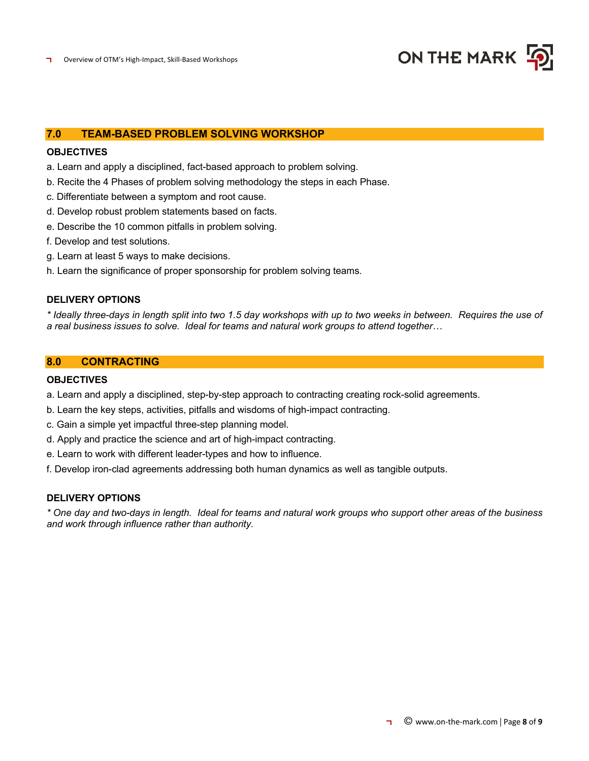

# **7.0 TEAM-BASED PROBLEM SOLVING WORKSHOP**

# **OBJECTIVES**

- a. Learn and apply a disciplined, fact-based approach to problem solving.
- b. Recite the 4 Phases of problem solving methodology the steps in each Phase.
- c. Differentiate between a symptom and root cause.
- d. Develop robust problem statements based on facts.
- e. Describe the 10 common pitfalls in problem solving.
- f. Develop and test solutions.
- g. Learn at least 5 ways to make decisions.
- h. Learn the significance of proper sponsorship for problem solving teams.

#### **DELIVERY OPTIONS**

*\* Ideally three-days in length split into two 1.5 day workshops with up to two weeks in between. Requires the use of a real business issues to solve. Ideal for teams and natural work groups to attend together…*

## **8.0 CONTRACTING**

# **OBJECTIVES**

- a. Learn and apply a disciplined, step-by-step approach to contracting creating rock-solid agreements.
- b. Learn the key steps, activities, pitfalls and wisdoms of high-impact contracting.
- c. Gain a simple yet impactful three-step planning model.
- d. Apply and practice the science and art of high-impact contracting.
- e. Learn to work with different leader-types and how to influence.
- f. Develop iron-clad agreements addressing both human dynamics as well as tangible outputs.

# **DELIVERY OPTIONS**

*\* One day and two-days in length. Ideal for teams and natural work groups who support other areas of the business and work through influence rather than authority.*